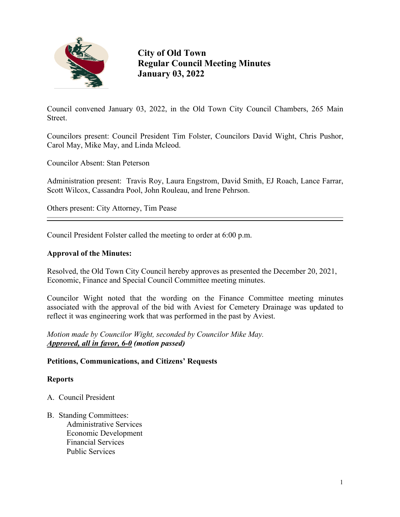

**City of Old Town Regular Council Meeting Minutes January 03, 2022**

Council convened January 03, 2022, in the Old Town City Council Chambers, 265 Main Street.

Councilors present: Council President Tim Folster, Councilors David Wight, Chris Pushor, Carol May, Mike May, and Linda Mcleod.

Councilor Absent: Stan Peterson

Administration present: Travis Roy, Laura Engstrom, David Smith, EJ Roach, Lance Farrar, Scott Wilcox, Cassandra Pool, John Rouleau, and Irene Pehrson.

Others present: City Attorney, Tim Pease

Council President Folster called the meeting to order at 6:00 p.m.

### **Approval of the Minutes:**

Resolved, the Old Town City Council hereby approves as presented the December 20, 2021, Economic, Finance and Special Council Committee meeting minutes.

Councilor Wight noted that the wording on the Finance Committee meeting minutes associated with the approval of the bid with Aviest for Cemetery Drainage was updated to reflect it was engineering work that was performed in the past by Aviest.

*Motion made by Councilor Wight, seconded by Councilor Mike May. Approved, all in favor, 6-0 (motion passed)*

### **Petitions, Communications, and Citizens' Requests**

### **Reports**

- A. Council President
- B. Standing Committees: Administrative Services Economic Development Financial Services Public Services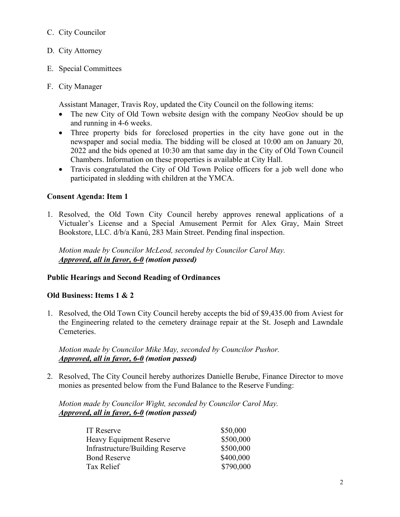## C. City Councilor

- D. City Attorney
- E. Special Committees
- F. City Manager

Assistant Manager, Travis Roy, updated the City Council on the following items:

- The new City of Old Town website design with the company NeoGov should be up and running in 4-6 weeks.
- Three property bids for foreclosed properties in the city have gone out in the newspaper and social media. The bidding will be closed at 10:00 am on January 20, 2022 and the bids opened at 10:30 am that same day in the City of Old Town Council Chambers. Information on these properties is available at City Hall.
- Travis congratulated the City of Old Town Police officers for a job well done who participated in sledding with children at the YMCA.

# **Consent Agenda: Item 1**

1. Resolved, the Old Town City Council hereby approves renewal applications of a Victualer's License and a Special Amusement Permit for Alex Gray, Main Street Bookstore, LLC. d/b/a Kanú, 283 Main Street. Pending final inspection.

 *Motion made by Councilor McLeod, seconded by Councilor Carol May. Approved, all in favor, 6-0 (motion passed)*

# **Public Hearings and Second Reading of Ordinances**

## **Old Business: Items 1 & 2**

1. Resolved, the Old Town City Council hereby accepts the bid of \$9,435.00 from Aviest for the Engineering related to the cemetery drainage repair at the St. Joseph and Lawndale Cemeteries.

 *Motion made by Councilor Mike May, seconded by Councilor Pushor. Approved, all in favor, 6-0 (motion passed)*

2. Resolved, The City Council hereby authorizes Danielle Berube, Finance Director to move monies as presented below from the Fund Balance to the Reserve Funding:

 *Motion made by Councilor Wight, seconded by Councilor Carol May. Approved, all in favor, 6-0 (motion passed)*

| IT Reserve                      | \$50,000  |
|---------------------------------|-----------|
| Heavy Equipment Reserve         | \$500,000 |
| Infrastructure/Building Reserve | \$500,000 |
| <b>Bond Reserve</b>             | \$400,000 |
| Tax Relief                      | \$790,000 |